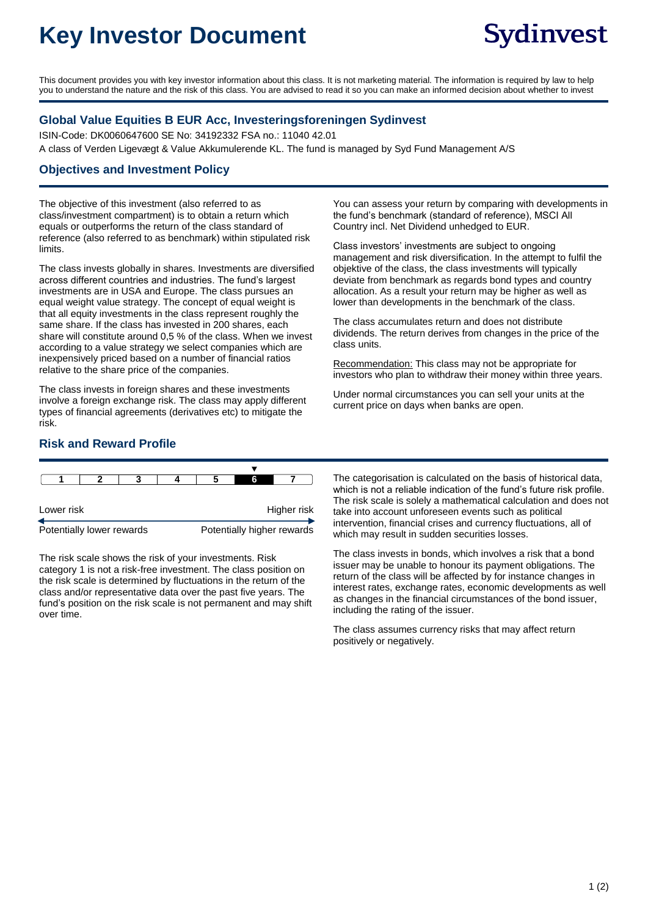# **Key Investor Document**

This document provides you with key investor information about this class. It is not marketing material. The information is required by law to help you to understand the nature and the risk of this class. You are advised to read it so you can make an informed decision about whether to invest

### **Global Value Equities B EUR Acc, Investeringsforeningen Sydinvest**

ISIN-Code: DK0060647600 SE No: 34192332 FSA no.: 11040 42.01 A class of Verden Ligevægt & Value Akkumulerende KL. The fund is managed by Syd Fund Management A/S

#### **Objectives and Investment Policy**

The objective of this investment (also referred to as class/investment compartment) is to obtain a return which equals or outperforms the return of the class standard of reference (also referred to as benchmark) within stipulated risk limits.

The class invests globally in shares. Investments are diversified across different countries and industries. The fund's largest investments are in USA and Europe. The class pursues an equal weight value strategy. The concept of equal weight is that all equity investments in the class represent roughly the same share. If the class has invested in 200 shares, each share will constitute around 0,5 % of the class. When we invest according to a value strategy we select companies which are inexpensively priced based on a number of financial ratios relative to the share price of the companies.

The class invests in foreign shares and these investments involve a foreign exchange risk. The class may apply different types of financial agreements (derivatives etc) to mitigate the risk.

You can assess your return by comparing with developments in the fund's benchmark (standard of reference), MSCI All Country incl. Net Dividend unhedged to EUR.

Class investors' investments are subject to ongoing management and risk diversification. In the attempt to fulfil the objektive of the class, the class investments will typically deviate from benchmark as regards bond types and country allocation. As a result your return may be higher as well as lower than developments in the benchmark of the class.

The class accumulates return and does not distribute dividends. The return derives from changes in the price of the class units.

Recommendation: This class may not be appropriate for investors who plan to withdraw their money within three years.

Under normal circumstances you can sell your units at the current price on days when banks are open.

# **Risk and Reward Profile**

|                           |  |  |  |                            | 6 |  |  |
|---------------------------|--|--|--|----------------------------|---|--|--|
|                           |  |  |  |                            |   |  |  |
| Lower risk                |  |  |  | Higher risk                |   |  |  |
| Potentially lower rewards |  |  |  | Potentially higher rewards |   |  |  |

The risk scale shows the risk of your investments. Risk category 1 is not a risk-free investment. The class position on the risk scale is determined by fluctuations in the return of the class and/or representative data over the past five years. The fund's position on the risk scale is not permanent and may shift over time.

The categorisation is calculated on the basis of historical data, which is not a reliable indication of the fund's future risk profile. The risk scale is solely a mathematical calculation and does not take into account unforeseen events such as political intervention, financial crises and currency fluctuations, all of which may result in sudden securities losses.

The class invests in bonds, which involves a risk that a bond issuer may be unable to honour its payment obligations. The return of the class will be affected by for instance changes in interest rates, exchange rates, economic developments as well as changes in the financial circumstances of the bond issuer, including the rating of the issuer.

The class assumes currency risks that may affect return positively or negatively.